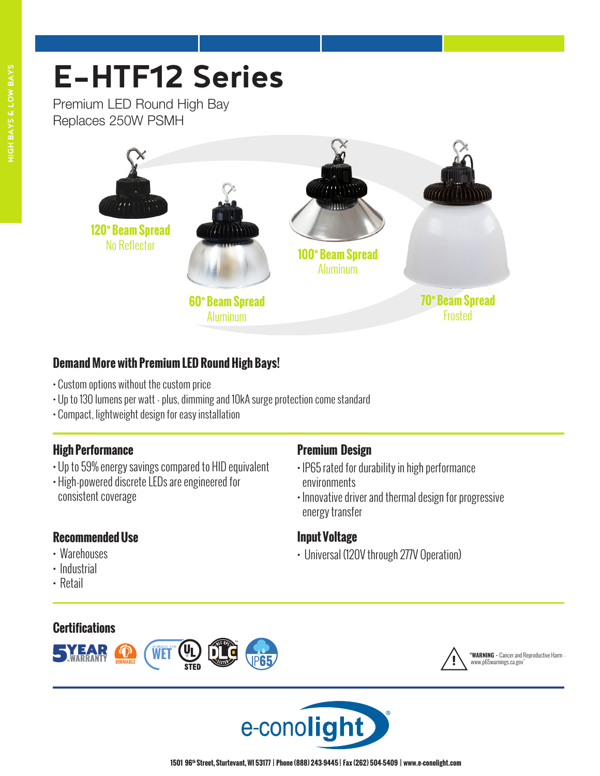# **E-HTF12 Series**

Premium LED Round High Bay Replaces 250W PSMH



# **Demand More with Premium LED Round High Bays!**

- Custom options without the custom price
- Up to 130 lumens per watt plus, dimming and 10kA surge protection come standard
- Compact, lightweight design for easy installation

# **High Performance**

- Up to 59% energy savings compared to HID equivalent
- High-powered discrete LEDs are engineered for consistent coverage

# **Recommended Use**

- Warehouses
- Industrial
- Retail

# **Certifications**



# **Premium Design**

- IP65 rated for durability in high performance environments
- Innovative driver and thermal design for progressive energy transfer

# **Input Voltage**

• Universal (120V through 277V Operation)



! **"WARNING -** Cancer and Reproductive Harm ww.p65warnings.ca.gov

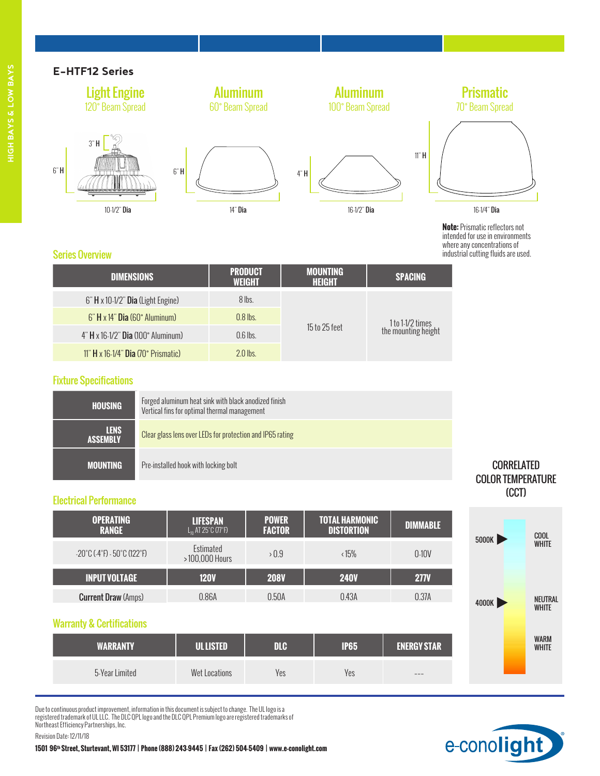#### **E-HTF12 Series**



| <b>DIMENSIONS</b>                         | .<br><b>WEIGHT</b> | .<br>HEIGHT   | <b>SPACING</b>      |  |
|-------------------------------------------|--------------------|---------------|---------------------|--|
| 6" H x 10-1/2" Dia (Light Engine)         | 8 lbs.             |               |                     |  |
| $6"$ H x 14" Dia $(60°)$ Aluminum         | $0.8$ lbs.         |               | 1 to 1-1/2 times    |  |
| $4$ " H x 16-1/2" Dia (100° Aluminum)     | $0.6$ lbs.         | 15 to 25 feet | the mounting height |  |
| $11$ " H x 16-1/4" Dia $(70°)$ Prismatic) | $2.0$ lbs.         |               |                     |  |

#### Fixture Specifications

| <b>HOUSING</b>                 | Forged aluminum heat sink with black anodized finish<br>Vertical fins for optimal thermal management |
|--------------------------------|------------------------------------------------------------------------------------------------------|
| <b>LENS</b><br><b>ASSEMBLY</b> | Clear glass lens over LEDs for protection and IP65 rating                                            |
| <b>MOUNTING</b>                | Pre-installed hook with locking bolt                                                                 |

#### Electrical Performance

| <b>OPERATING</b><br><b>RANGE</b>                                     | <b>LIFESPAN</b><br>$L_{n}$ AT 25°C (77°F) | <b>POWER</b><br><b>FACTOR</b> | <b>TOTAL HARMONIC</b><br><b>DISTORTION</b> | <b>DIMMABLE</b> |
|----------------------------------------------------------------------|-------------------------------------------|-------------------------------|--------------------------------------------|-----------------|
| $-20^{\circ}$ C ( $-4^{\circ}$ F) $-50^{\circ}$ C (122 $^{\circ}$ F) | Estimated<br>>100,000 Hours               | >0.9                          | $\langle 15\%$                             | $0-10V$         |
| <b>INPUT VOLTAGE</b>                                                 | <b>120V</b>                               | <b>208V</b>                   | <b>240V</b>                                | <b>277V</b>     |
| <b>Current Draw (Amps)</b>                                           | 0.86A                                     | 0.50A                         | 0.43A                                      | 0.37A           |

#### Warranty & Certifications

| NARRANTV       | UL LISTED     | DLC | <b>IP65</b> | <b>ENERGY STAR</b> |
|----------------|---------------|-----|-------------|--------------------|
| 5-Year Limited | Wet Locations | Yes | Yes         | $- - -$            |

Due to continuous product improvement, information in this document is subject to change. The UL logo is a registered trademark of UL LLC. The DLC QPL logo and the DLC QPL Premium logo are registered trademarks of Northeast Efficiency Partnerships, Inc.

Revision Date: 12/11/18

### **CORRELATED** COLOR TEMPERATURE (CCT)